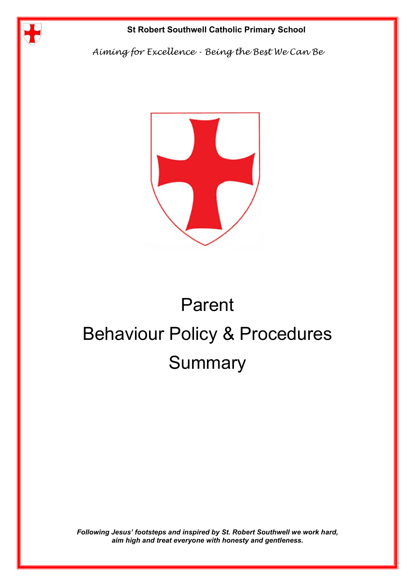

*Aiming for Excellence - Being the Best We Can Be*



# Parent Behaviour Policy & Procedures **Summary**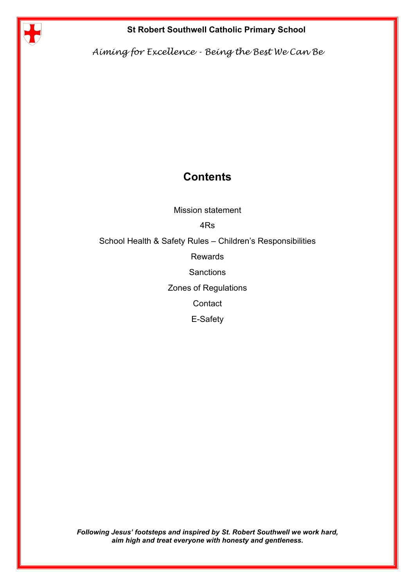

*Aiming for Excellence - Being the Best We Can Be*

### **Contents**

Mission statement

4Rs

School Health & Safety Rules – Children's Responsibilities

Rewards

**Sanctions** 

Zones of Regulations

**Contact** 

E-Safety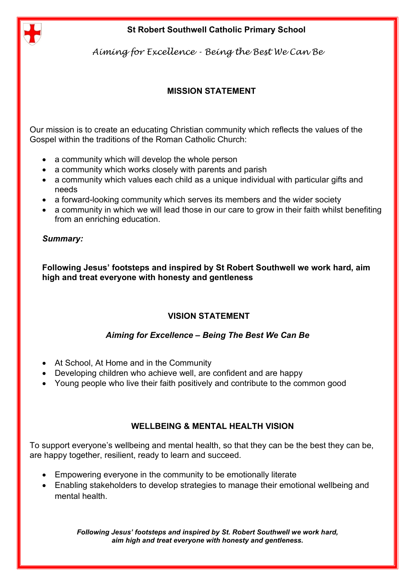

*Aiming for Excellence - Being the Best We Can Be*

### **MISSION STATEMENT**

Our mission is to create an educating Christian community which reflects the values of the Gospel within the traditions of the Roman Catholic Church:

- a community which will develop the whole person
- a community which works closely with parents and parish
- a community which values each child as a unique individual with particular gifts and needs
- a forward-looking community which serves its members and the wider society
- a community in which we will lead those in our care to grow in their faith whilst benefiting from an enriching education.

### *Summary:*

**Following Jesus' footsteps and inspired by St Robert Southwell we work hard, aim high and treat everyone with honesty and gentleness**

### **VISION STATEMENT**

### *Aiming for Excellence – Being The Best We Can Be*

- At School, At Home and in the Community
- Developing children who achieve well, are confident and are happy
- Young people who live their faith positively and contribute to the common good

### **WELLBEING & MENTAL HEALTH VISION**

To support everyone's wellbeing and mental health, so that they can be the best they can be, are happy together, resilient, ready to learn and succeed.

- Empowering everyone in the community to be emotionally literate
- Enabling stakeholders to develop strategies to manage their emotional wellbeing and mental health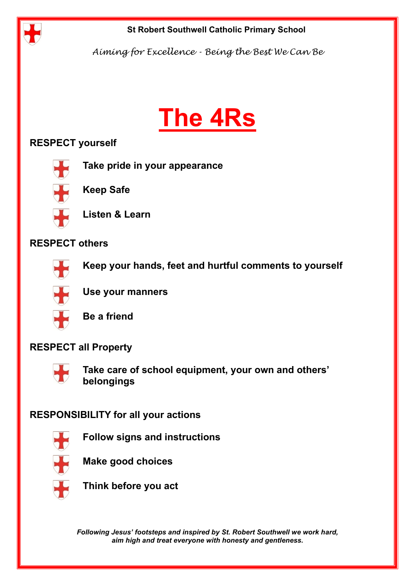

*Aiming for Excellence - Being the Best We Can Be*

# **The 4Rs**

### **RESPECT yourself**



**Take pride in your appearance**



**Keep Safe**



**Listen & Learn** 

### **RESPECT others**



**Keep your hands, feet and hurtful comments to yourself**



**Use your manners**



**Be a friend**

### **RESPECT all Property**



**Take care of school equipment, your own and others' belongings**

### **RESPONSIBILITY for all your actions**



**Follow signs and instructions**



**Make good choices**



**Think before you act**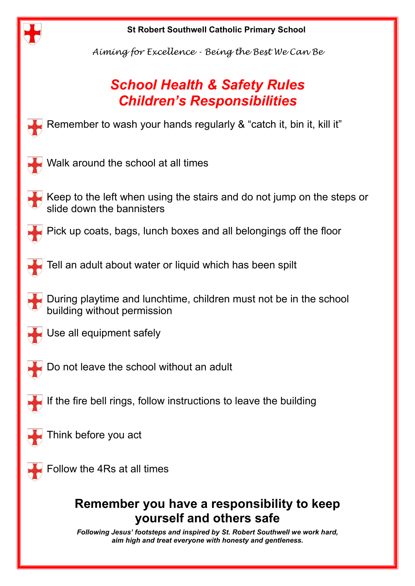

*Aiming for Excellence - Being the Best We Can Be*

## *School Health & Safety Rules Children's Responsibilities*

Remember to wash your hands regularly & "catch it, bin it, kill it"



Walk around the school at all times



Pick up coats, bags, lunch boxes and all belongings off the floor



Tell an adult about water or liquid which has been spilt

During playtime and lunchtime, children must not be in the school building without permission



Use all equipment safely



Do not leave the school without an adult

If the fire bell rings, follow instructions to leave the building



Think before you act



Follow the 4Rs at all times

### **Remember you have a responsibility to keep yourself and others safe**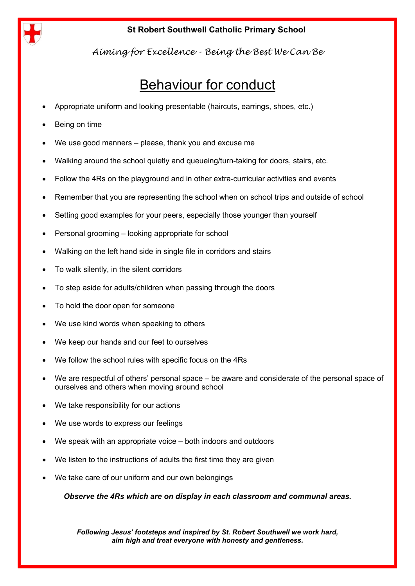

*Aiming for Excellence - Being the Best We Can Be*

## Behaviour for conduct

- Appropriate uniform and looking presentable (haircuts, earrings, shoes, etc.)
- Being on time
- We use good manners please, thank you and excuse me
- Walking around the school quietly and queueing/turn-taking for doors, stairs, etc.
- Follow the 4Rs on the playground and in other extra-curricular activities and events
- Remember that you are representing the school when on school trips and outside of school
- Setting good examples for your peers, especially those younger than yourself
- Personal grooming looking appropriate for school
- Walking on the left hand side in single file in corridors and stairs
- To walk silently, in the silent corridors
- To step aside for adults/children when passing through the doors
- To hold the door open for someone
- We use kind words when speaking to others
- We keep our hands and our feet to ourselves
- We follow the school rules with specific focus on the 4Rs
- We are respectful of others' personal space be aware and considerate of the personal space of ourselves and others when moving around school
- We take responsibility for our actions
- We use words to express our feelings
- We speak with an appropriate voice both indoors and outdoors
- We listen to the instructions of adults the first time they are given
- We take care of our uniform and our own belongings

*Observe the 4Rs which are on display in each classroom and communal areas.*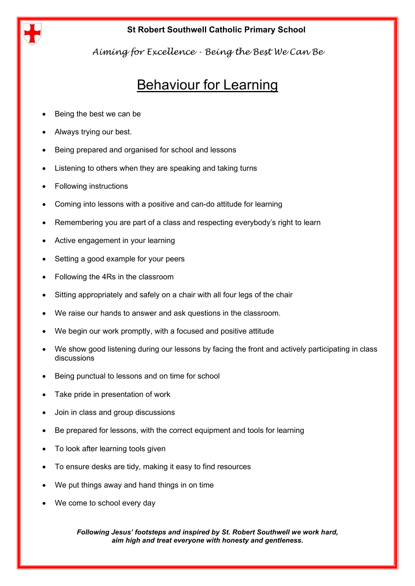

*Aiming for Excellence - Being the Best We Can Be*

### Behaviour for Learning

- Being the best we can be
- Always trying our best.
- Being prepared and organised for school and lessons
- Listening to others when they are speaking and taking turns
- Following instructions
- Coming into lessons with a positive and can-do attitude for learning
- Remembering you are part of a class and respecting everybody's right to learn
- Active engagement in your learning
- Setting a good example for your peers
- Following the 4Rs in the classroom
- Sitting appropriately and safely on a chair with all four legs of the chair
- We raise our hands to answer and ask questions in the classroom.
- We begin our work promptly, with a focused and positive attitude
- We show good listening during our lessons by facing the front and actively participating in class discussions
- Being punctual to lessons and on time for school
- Take pride in presentation of work
- Join in class and group discussions
- Be prepared for lessons, with the correct equipment and tools for learning
- To look after learning tools given
- To ensure desks are tidy, making it easy to find resources
- We put things away and hand things in on time
- We come to school every day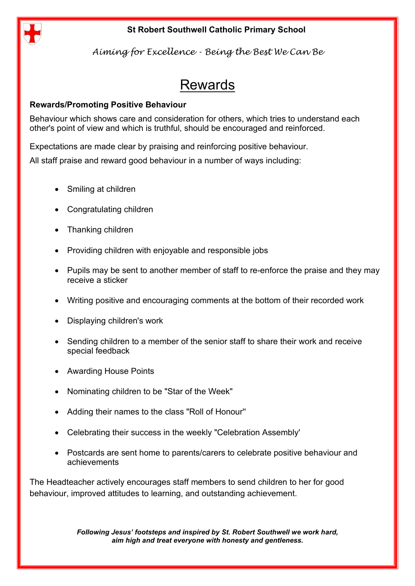

*Aiming for Excellence - Being the Best We Can Be*

### Rewards

### **Rewards/Promoting Positive Behaviour**

Behaviour which shows care and consideration for others, which tries to understand each other's point of view and which is truthful, should be encouraged and reinforced.

Expectations are made clear by praising and reinforcing positive behaviour.

All staff praise and reward good behaviour in a number of ways including:

- Smiling at children
- Congratulating children
- Thanking children
- Providing children with enjoyable and responsible jobs
- Pupils may be sent to another member of staff to re-enforce the praise and they may receive a sticker
- Writing positive and encouraging comments at the bottom of their recorded work
- Displaying children's work
- Sending children to a member of the senior staff to share their work and receive special feedback
- Awarding House Points
- Nominating children to be "Star of the Week"
- Adding their names to the class "Roll of Honour''
- Celebrating their success in the weekly "Celebration Assembly'
- Postcards are sent home to parents/carers to celebrate positive behaviour and achievements

The Headteacher actively encourages staff members to send children to her for good behaviour, improved attitudes to learning, and outstanding achievement.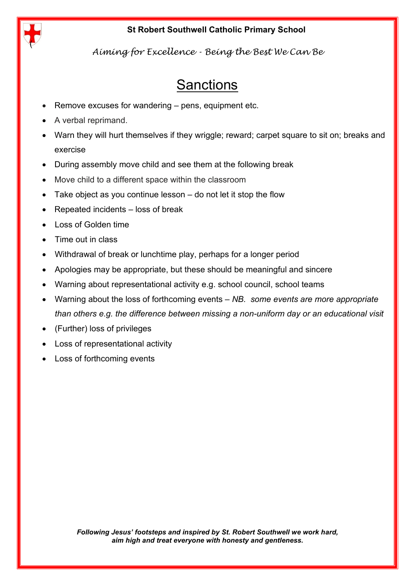

*Aiming for Excellence - Being the Best We Can Be*

### **Sanctions**

- Remove excuses for wandering pens, equipment etc.
- A verbal reprimand.
- Warn they will hurt themselves if they wriggle; reward; carpet square to sit on; breaks and exercise
- During assembly move child and see them at the following break
- Move child to a different space within the classroom
- Take object as you continue lesson  $-$  do not let it stop the flow
- Repeated incidents loss of break
- Loss of Golden time
- Time out in class
- Withdrawal of break or lunchtime play, perhaps for a longer period
- Apologies may be appropriate, but these should be meaningful and sincere
- Warning about representational activity e.g. school council, school teams
- Warning about the loss of forthcoming events *NB. some events are more appropriate than others e.g. the difference between missing a non-uniform day or an educational visit*
- (Further) loss of privileges
- Loss of representational activity
- Loss of forthcoming events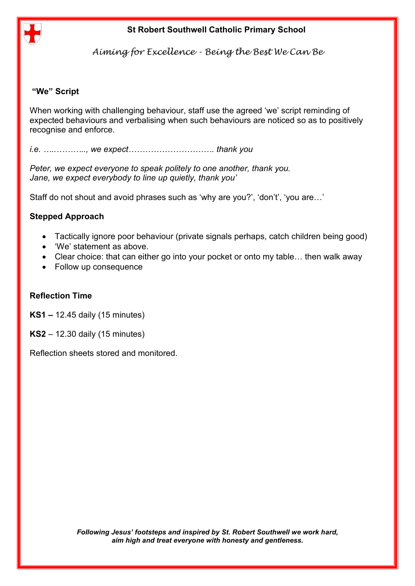

*Aiming for Excellence - Being the Best We Can Be*

### **"We" Script**

When working with challenging behaviour, staff use the agreed 'we' script reminding of expected behaviours and verbalising when such behaviours are noticed so as to positively recognise and enforce.

*i.e. …..……….., we expect…………………………. thank you*

*Peter, we expect everyone to speak politely to one another, thank you. Jane, we expect everybody to line up quietly, thank you'*

Staff do not shout and avoid phrases such as 'why are you?', 'don't', 'you are…'

### **Stepped Approach**

- Tactically ignore poor behaviour (private signals perhaps, catch children being good)
- 'We' statement as above.
- Clear choice: that can either go into your pocket or onto my table... then walk away
- Follow up consequence

#### **Reflection Time**

**KS1 –** 12.45 daily (15 minutes)

**KS2** – 12.30 daily (15 minutes)

Reflection sheets stored and monitored.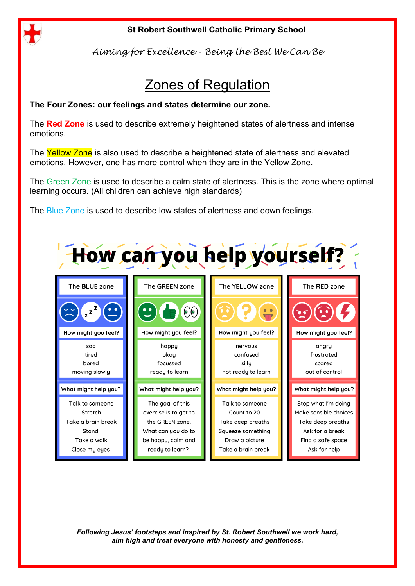

*Aiming for Excellence - Being the Best We Can Be*

## Zones of Regulation

### **The Four Zones: our feelings and states determine our zone.**

The **Red Zone** is used to describe extremely heightened states of alertness and intense emotions.

The Yellow Zone is also used to describe a heightened state of alertness and elevated emotions. However, one has more control when they are in the Yellow Zone.

The Green Zone is used to describe a calm state of alertness. This is the zone where optimal learning occurs. (All children can achieve high standards)

The Blue Zone is used to describe low states of alertness and down feelings.

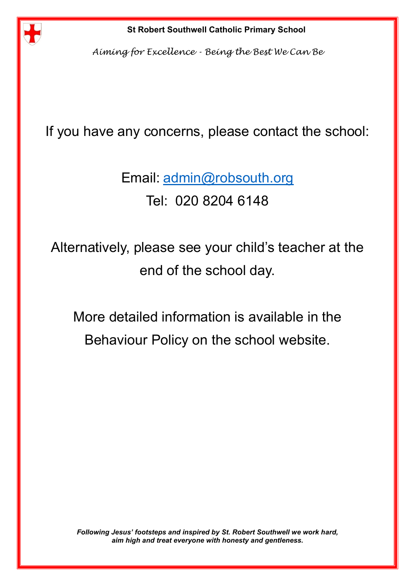

*Aiming for Excellence - Being the Best We Can Be*

### If you have any concerns, please contact the school:

Email: [admin@robsouth.org](mailto:admin@robsouth.org) Tel: 020 8204 6148

Alternatively, please see your child's teacher at the end of the school day.

More detailed information is available in the Behaviour Policy on the school website.